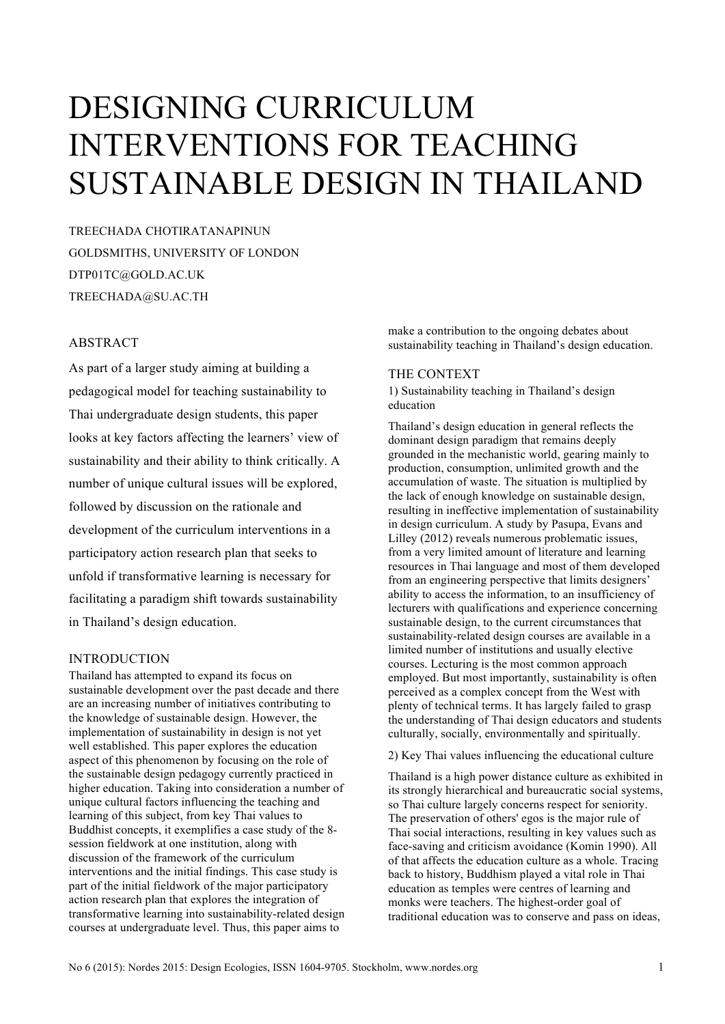# DESIGNING CURRICULUM INTERVENTIONS FOR TEACHING SUSTAINABLE DESIGN IN THAILAND

TREECHADA CHOTIRATANAPINUN GOLDSMITHS, UNIVERSITY OF LONDON DTP01TC@GOLD.AC.UK TREECHADA@SU.AC.TH

## **ABSTRACT**

As part of a larger study aiming at building a pedagogical model for teaching sustainability to Thai undergraduate design students, this paper looks at key factors affecting the learners' view of sustainability and their ability to think critically. A number of unique cultural issues will be explored, followed by discussion on the rationale and development of the curriculum interventions in a participatory action research plan that seeks to unfold if transformative learning is necessary for facilitating a paradigm shift towards sustainability in Thailand's design education.

# INTRODUCTION

Thailand has attempted to expand its focus on sustainable development over the past decade and there are an increasing number of initiatives contributing to the knowledge of sustainable design. However, the implementation of sustainability in design is not yet well established. This paper explores the education aspect of this phenomenon by focusing on the role of the sustainable design pedagogy currently practiced in higher education. Taking into consideration a number of unique cultural factors influencing the teaching and learning of this subject, from key Thai values to Buddhist concepts, it exemplifies a case study of the 8 session fieldwork at one institution, along with discussion of the framework of the curriculum interventions and the initial findings. This case study is part of the initial fieldwork of the major participatory action research plan that explores the integration of transformative learning into sustainability-related design courses at undergraduate level. Thus, this paper aims to

make a contribution to the ongoing debates about sustainability teaching in Thailand's design education.

### THE CONTEXT

1) Sustainability teaching in Thailand's design education

Thailand's design education in general reflects the dominant design paradigm that remains deeply grounded in the mechanistic world, gearing mainly to production, consumption, unlimited growth and the accumulation of waste. The situation is multiplied by the lack of enough knowledge on sustainable design, resulting in ineffective implementation of sustainability in design curriculum. A study by Pasupa, Evans and Lilley (2012) reveals numerous problematic issues, from a very limited amount of literature and learning resources in Thai language and most of them developed from an engineering perspective that limits designers' ability to access the information, to an insufficiency of lecturers with qualifications and experience concerning sustainable design, to the current circumstances that sustainability-related design courses are available in a limited number of institutions and usually elective courses. Lecturing is the most common approach employed. But most importantly, sustainability is often perceived as a complex concept from the West with plenty of technical terms. It has largely failed to grasp the understanding of Thai design educators and students culturally, socially, environmentally and spiritually.

2) Key Thai values influencing the educational culture

Thailand is a high power distance culture as exhibited in its strongly hierarchical and bureaucratic social systems, so Thai culture largely concerns respect for seniority. The preservation of others' egos is the major rule of Thai social interactions, resulting in key values such as face-saving and criticism avoidance (Komin 1990). All of that affects the education culture as a whole. Tracing back to history, Buddhism played a vital role in Thai education as temples were centres of learning and monks were teachers. The highest-order goal of traditional education was to conserve and pass on ideas,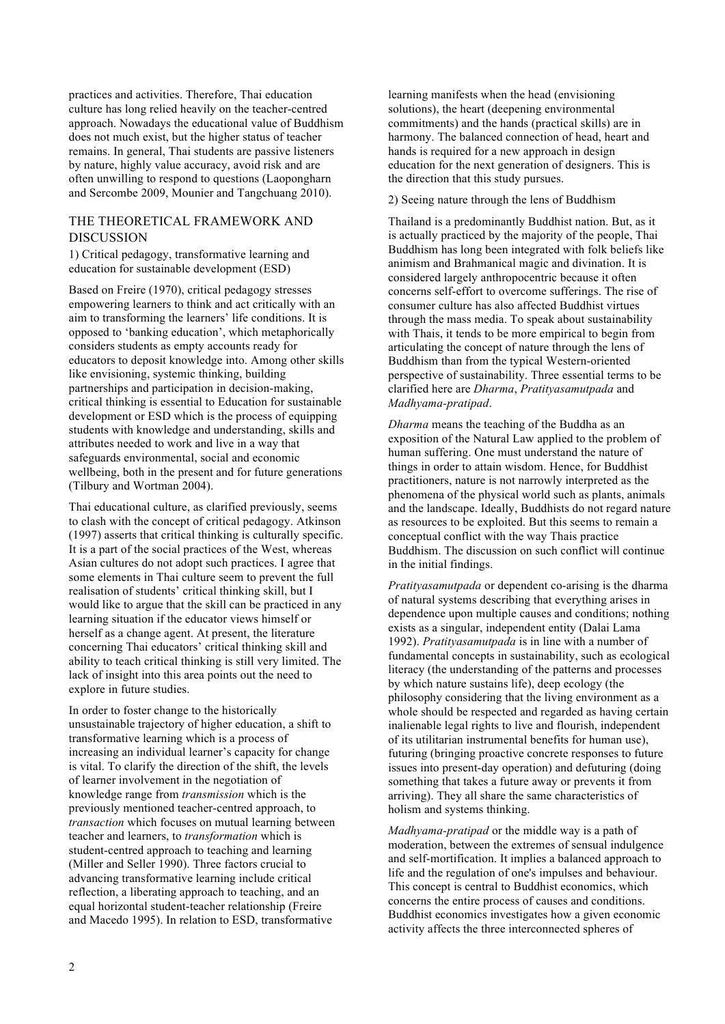practices and activities. Therefore, Thai education culture has long relied heavily on the teacher-centred approach. Nowadays the educational value of Buddhism does not much exist, but the higher status of teacher remains. In general, Thai students are passive listeners by nature, highly value accuracy, avoid risk and are often unwilling to respond to questions (Laopongharn and Sercombe 2009, Mounier and Tangchuang 2010).

## THE THEORETICAL FRAMEWORK AND DISCUSSION

1) Critical pedagogy, transformative learning and education for sustainable development (ESD)

Based on Freire (1970), critical pedagogy stresses empowering learners to think and act critically with an aim to transforming the learners' life conditions. It is opposed to 'banking education', which metaphorically considers students as empty accounts ready for educators to deposit knowledge into. Among other skills like envisioning, systemic thinking, building partnerships and participation in decision-making, critical thinking is essential to Education for sustainable development or ESD which is the process of equipping students with knowledge and understanding, skills and attributes needed to work and live in a way that safeguards environmental, social and economic wellbeing, both in the present and for future generations (Tilbury and Wortman 2004).

Thai educational culture, as clarified previously, seems to clash with the concept of critical pedagogy. Atkinson (1997) asserts that critical thinking is culturally specific. It is a part of the social practices of the West, whereas Asian cultures do not adopt such practices. I agree that some elements in Thai culture seem to prevent the full realisation of students' critical thinking skill, but I would like to argue that the skill can be practiced in any learning situation if the educator views himself or herself as a change agent. At present, the literature concerning Thai educators' critical thinking skill and ability to teach critical thinking is still very limited. The lack of insight into this area points out the need to explore in future studies.

In order to foster change to the historically unsustainable trajectory of higher education, a shift to transformative learning which is a process of increasing an individual learner's capacity for change is vital. To clarify the direction of the shift, the levels of learner involvement in the negotiation of knowledge range from *transmission* which is the previously mentioned teacher-centred approach, to *transaction* which focuses on mutual learning between teacher and learners, to *transformation* which is student-centred approach to teaching and learning (Miller and Seller 1990). Three factors crucial to advancing transformative learning include critical reflection, a liberating approach to teaching, and an equal horizontal student-teacher relationship (Freire and Macedo 1995). In relation to ESD, transformative

learning manifests when the head (envisioning solutions), the heart (deepening environmental commitments) and the hands (practical skills) are in harmony. The balanced connection of head, heart and hands is required for a new approach in design education for the next generation of designers. This is the direction that this study pursues.

2) Seeing nature through the lens of Buddhism

Thailand is a predominantly Buddhist nation. But, as it is actually practiced by the majority of the people, Thai Buddhism has long been integrated with folk beliefs like animism and Brahmanical magic and divination. It is considered largely anthropocentric because it often concerns self-effort to overcome sufferings. The rise of consumer culture has also affected Buddhist virtues through the mass media. To speak about sustainability with Thais, it tends to be more empirical to begin from articulating the concept of nature through the lens of Buddhism than from the typical Western-oriented perspective of sustainability. Three essential terms to be clarified here are *Dharma*, *Pratityasamutpada* and *Madhyama-pratipad*.

*Dharma* means the teaching of the Buddha as an exposition of the Natural Law applied to the problem of human suffering. One must understand the nature of things in order to attain wisdom. Hence, for Buddhist practitioners, nature is not narrowly interpreted as the phenomena of the physical world such as plants, animals and the landscape. Ideally, Buddhists do not regard nature as resources to be exploited. But this seems to remain a conceptual conflict with the way Thais practice Buddhism. The discussion on such conflict will continue in the initial findings.

*Pratityasamutpada* or dependent co-arising is the dharma of natural systems describing that everything arises in dependence upon multiple causes and conditions; nothing exists as a singular, independent entity (Dalai Lama 1992). *Pratityasamutpada* is in line with a number of fundamental concepts in sustainability, such as ecological literacy (the understanding of the patterns and processes by which nature sustains life), deep ecology (the philosophy considering that the living environment as a whole should be respected and regarded as having certain inalienable legal rights to live and flourish, independent of its utilitarian instrumental benefits for human use), futuring (bringing proactive concrete responses to future issues into present-day operation) and defuturing (doing something that takes a future away or prevents it from arriving). They all share the same characteristics of holism and systems thinking.

*Madhyama-pratipad* or the middle way is a path of moderation, between the extremes of sensual indulgence and self-mortification. It implies a balanced approach to life and the regulation of one's impulses and behaviour. This concept is central to Buddhist economics, which concerns the entire process of causes and conditions. Buddhist economics investigates how a given economic activity affects the three interconnected spheres of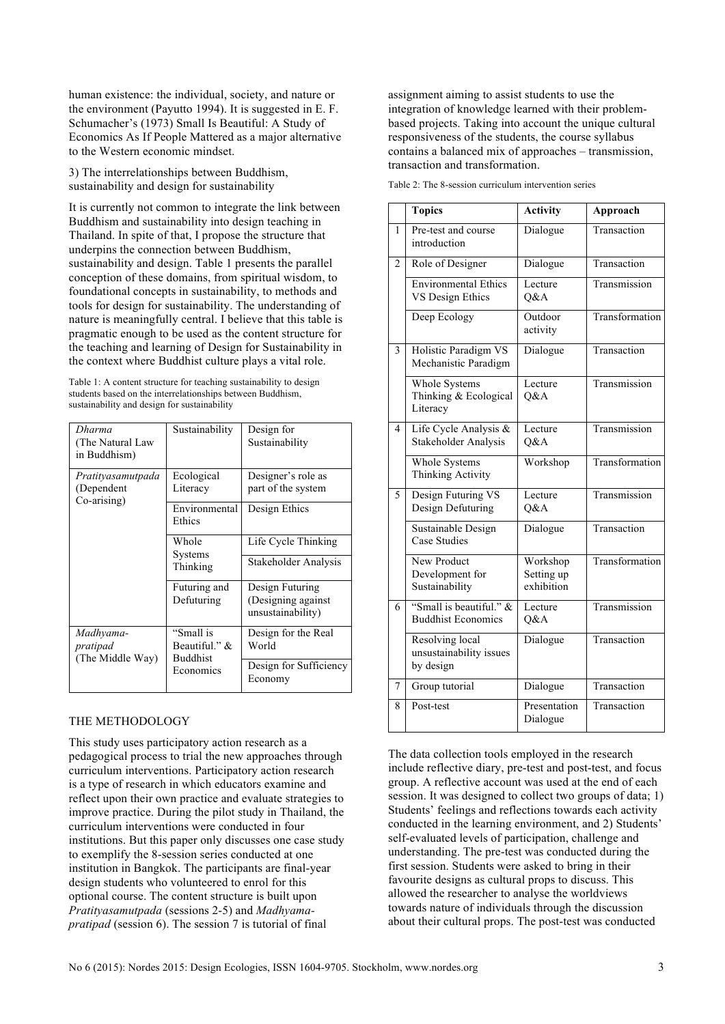human existence: the individual, society, and nature or the environment (Payutto 1994). It is suggested in E. F. Schumacher's (1973) Small Is Beautiful: A Study of Economics As If People Mattered as a major alternative to the Western economic mindset.

3) The interrelationships between Buddhism, sustainability and design for sustainability

It is currently not common to integrate the link between Buddhism and sustainability into design teaching in Thailand. In spite of that, I propose the structure that underpins the connection between Buddhism, sustainability and design. Table 1 presents the parallel conception of these domains, from spiritual wisdom, to foundational concepts in sustainability, to methods and tools for design for sustainability. The understanding of nature is meaningfully central. I believe that this table is pragmatic enough to be used as the content structure for the teaching and learning of Design for Sustainability in the context where Buddhist culture plays a vital role.

Table 1: A content structure for teaching sustainability to design students based on the interrelationships between Buddhism, sustainability and design for sustainability

| Dharma<br>(The Natural Law<br>in Buddhism)     | Sustainability                                             | Design for<br>Sustainability                               |
|------------------------------------------------|------------------------------------------------------------|------------------------------------------------------------|
| Pratityasamutpada<br>(Dependent<br>Co-arising) | Ecological<br>Literacy                                     | Designer's role as<br>part of the system                   |
|                                                | Environmental<br>Ethics                                    | Design Ethics                                              |
|                                                | Whole<br>Systems<br>Thinking                               | Life Cycle Thinking                                        |
|                                                |                                                            | Stakeholder Analysis                                       |
|                                                | Futuring and<br>Defuturing                                 | Design Futuring<br>(Designing against<br>unsustainability) |
| Madhyama-<br>pratipad<br>(The Middle Way)      | "Small is<br>Beautiful." &<br><b>Buddhist</b><br>Economics | Design for the Real<br>World                               |
|                                                |                                                            | Design for Sufficiency<br>Economy                          |

#### THE METHODOLOGY

This study uses participatory action research as a pedagogical process to trial the new approaches through curriculum interventions. Participatory action research is a type of research in which educators examine and reflect upon their own practice and evaluate strategies to improve practice. During the pilot study in Thailand, the curriculum interventions were conducted in four institutions. But this paper only discusses one case study to exemplify the 8-session series conducted at one institution in Bangkok. The participants are final-year design students who volunteered to enrol for this optional course. The content structure is built upon *Pratityasamutpada* (sessions 2-5) and *Madhyamapratipad* (session 6). The session 7 is tutorial of final

assignment aiming to assist students to use the integration of knowledge learned with their problembased projects. Taking into account the unique cultural responsiveness of the students, the course syllabus contains a balanced mix of approaches – transmission, transaction and transformation.

|                | <b>Topics</b>                                           | <b>Activity</b>                      | Approach       |
|----------------|---------------------------------------------------------|--------------------------------------|----------------|
| 1              | Pre-test and course<br>introduction                     | Dialogue                             | Transaction    |
| $\overline{2}$ | Role of Designer                                        | Dialogue                             | Transaction    |
|                | <b>Environmental Ethics</b><br>VS Design Ethics         | Lecture<br>O&A                       | Transmission   |
|                | Deep Ecology                                            | Outdoor<br>activity                  | Transformation |
| 3              | Holistic Paradigm VS<br>Mechanistic Paradigm            | Dialogue                             | Transaction    |
|                | Whole Systems<br>Thinking & Ecological<br>Literacy      | Lecture<br>Q&A                       | Transmission   |
| 4              | Life Cycle Analysis &<br>Stakeholder Analysis           | Lecture<br>O&A                       | Transmission   |
|                | Whole Systems<br>Thinking Activity                      | Workshop                             | Transformation |
| 5              | Design Futuring VS<br>Design Defuturing                 | Lecture<br>Q&A                       | Transmission   |
|                | Sustainable Design<br><b>Case Studies</b>               | Dialogue                             | Transaction    |
|                | New Product<br>Development for<br>Sustainability        | Workshop<br>Setting up<br>exhibition | Transformation |
| 6              | "Small is beautiful." &<br><b>Buddhist Economics</b>    | Lecture<br>Q&A                       | Transmission   |
|                | Resolving local<br>unsustainability issues<br>by design | Dialogue                             | Transaction    |
| 7              | Group tutorial                                          | Dialogue                             | Transaction    |
| 8              | Post-test                                               | Presentation<br>Dialogue             | Transaction    |

Table 2: The 8-session curriculum intervention series

The data collection tools employed in the research include reflective diary, pre-test and post-test, and focus group. A reflective account was used at the end of each session. It was designed to collect two groups of data; 1) Students' feelings and reflections towards each activity conducted in the learning environment, and 2) Students' self-evaluated levels of participation, challenge and understanding. The pre-test was conducted during the first session. Students were asked to bring in their favourite designs as cultural props to discuss. This allowed the researcher to analyse the worldviews towards nature of individuals through the discussion about their cultural props. The post-test was conducted